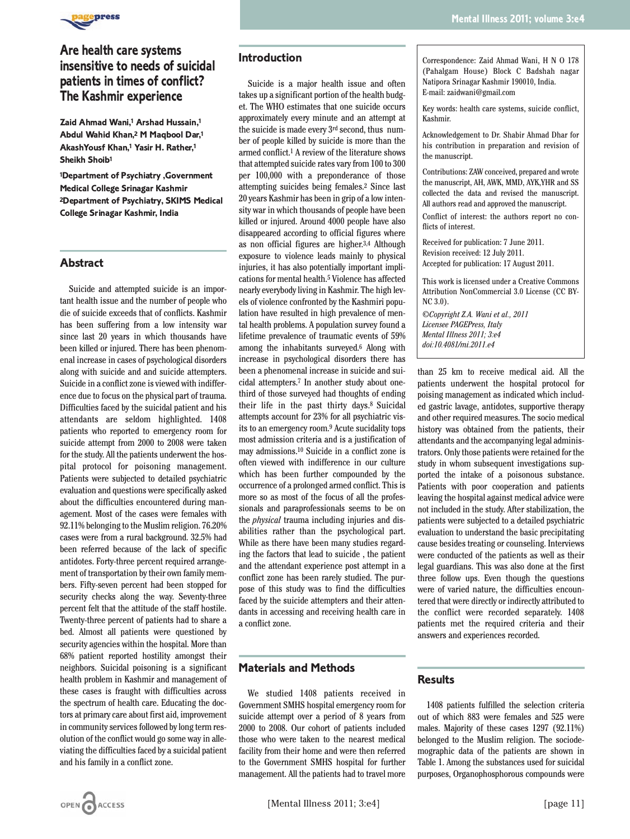

# **Are health care systems insensitive to needs of suicidal patients in times of conflict? The Kashmir experience**

**Zaid Ahmad Wani,1 Arshad Hussain,1 Abdul Wahid Khan,2 M Maqbool Dar,1 AkashYousf Khan,1 Yasir H. Rather,1 Sheikh Shoib1**

**1Department of Psychiatry ,Government Medical College Srinagar Kashmir 2Department of Psychiatry, SKIMS Medical College Srinagar Kashmir, India**

#### **Abstract**

Suicide and attempted suicide is an important health issue and the number of people who die of suicide exceeds that of conflicts. Kashmir has been suffering from a low intensity war since last 20 years in which thousands have been killed or injured. There has been phenomenal increase in cases of psychological disorders along with suicide and and suicide attempters. Suicide in a conflict zone is viewed with indifference due to focus on the physical part of trauma. Difficulties faced by the suicidal patient and his attendants are seldom highlighted. 1408 patients who reported to emergency room for suicide attempt from 2000 to 2008 were taken for the study. All the patients underwent the hospital protocol for poisoning management. Patients were subjected to detailed psychiatric evaluation and questions were specifically asked about the difficulties encountered during management. Most of the cases were females with 92.11% belonging to the Muslim religion. 76.20% cases were from a rural background. 32.5% had been referred because of the lack of specific antidotes. Forty-three percent required arrangement of transportation by their own family members. Fifty-seven percent had been stopped for security checks along the way. Seventy-three percent felt that the attitude of the staff hostile. Twenty-three percent of patients had to share a bed. Almost all patients were questioned by security agencies within the hospital. More than 68% patient reported hostility amongst their neighbors. Suicidal poisoning is a significant health problem in Kashmir and management of these cases is fraught with difficulties across the spectrum of health care. Educating the doctors at primary care about first aid, improvement in community services followed by long term resolution of the conflict would go some way in alleviating the difficulties faced by a suicidal patient and his family in a conflict zone.

#### **Introduction**

Suicide is a major health issue and often takes up a significant portion of the health budget. The WHO estimates that one suicide occurs approximately every minute and an attempt at the suicide is made every 3rd second, thus number of people killed by suicide is more than the armed conflict.1 A review of the literature shows that attempted suicide rates vary from 100 to 300 per 100,000 with a preponderance of those attempting suicides being females.2 Since last 20 years Kashmir has been in grip of a low intensity war in which thousands of people have been killed or injured. Around 4000 people have also disappeared according to official figures where as non official figures are higher.<sup>3,4</sup> Although exposure to violence leads mainly to physical injuries, it has also potentially important implications for mental health.5 Violence has affected nearly everybody living in Kashmir. The high levels of violence confronted by the Kashmiri population have resulted in high prevalence of mental health problems. A population survey found a lifetime prevalence of traumatic events of 59% among the inhabitants surveyed.6 Along with increase in psychological disorders there has been a phenomenal increase in suicide and suicidal attempters.7 In another study about onethird of those surveyed had thoughts of ending their life in the past thirty days.8 Suicidal attempts account for 23% for all psychiatric visits to an emergency room.9 Acute sucidality tops most admission criteria and is a justification of may admissions.10 Suicide in a conflict zone is often viewed with indifference in our culture which has been further compounded by the occurrence of a prolonged armed conflict. This is more so as most of the focus of all the professionals and paraprofessionals seems to be on the *physical* trauma including injuries and disabilities rather than the psychological part. While as there have been many studies regarding the factors that lead to suicide , the patient and the attendant experience post attempt in a conflict zone has been rarely studied. The purpose of this study was to find the difficulties faced by the suicide attempters and their attendants in accessing and receiving health care in a conflict zone.

# **Materials and Methods**

We studied 1408 patients received in Government SMHS hospital emergency room for suicide attempt over a period of 8 years from 2000 to 2008. Our cohort of patients included those who were taken to the nearest medical facility from their home and were then referred to the Government SMHS hospital for further management. All the patients had to travel more Key words: health care systems, suicide conflict, Kashmir.

Acknowledgement to Dr. Shabir Ahmad Dhar for his contribution in preparation and revision of the manuscript.

Contributions: ZAW conceived, prepared and wrote the manuscript, AH, AWK, MMD, AYK,YHR and SS collected the data and revised the manuscript. All authors read and approved the manuscript.

Conflict of interest: the authors report no conflicts of interest.

Received for publication: 7 June 2011. Revision received: 12 July 2011. Accepted for publication: 17 August 2011.

This work is licensed under a Creative Commons Attribution NonCommercial 3.0 License (CC BY-NC 3.0).

*©Copyright Z.A. Wani et al., 2011 Licensee PAGEPress, Italy Mental Illness 2011; 3:e4 doi:10.4081/mi.2011.e4*

than 25 km to receive medical aid. All the patients underwent the hospital protocol for poising management as indicated which included gastric lavage, antidotes, supportive therapy and other required measures. The socio medical history was obtained from the patients, their attendants and the accompanying legal administrators. Only those patients were retained for the study in whom subsequent investigations supported the intake of a poisonous substance. Patients with poor cooperation and patients leaving the hospital against medical advice were not included in the study. After stabilization, the patients were subjected to a detailed psychiatric evaluation to understand the basic precipitating cause besides treating or counseling. Interviews were conducted of the patients as well as their legal guardians. This was also done at the first three follow ups. Even though the questions were of varied nature, the difficulties encountered that were directly or indirectly attributed to the conflict were recorded separately. 1408 patients met the required criteria and their answers and experiences recorded.

### **Results**

1408 patients fulfilled the selection criteria out of which 883 were females and 525 were males. Majority of these cases 1297 (92.11%) belonged to the Muslim religion. The sociodemographic data of the patients are shown in Table 1. Among the substances used for suicidal purposes, Organophosphorous compounds were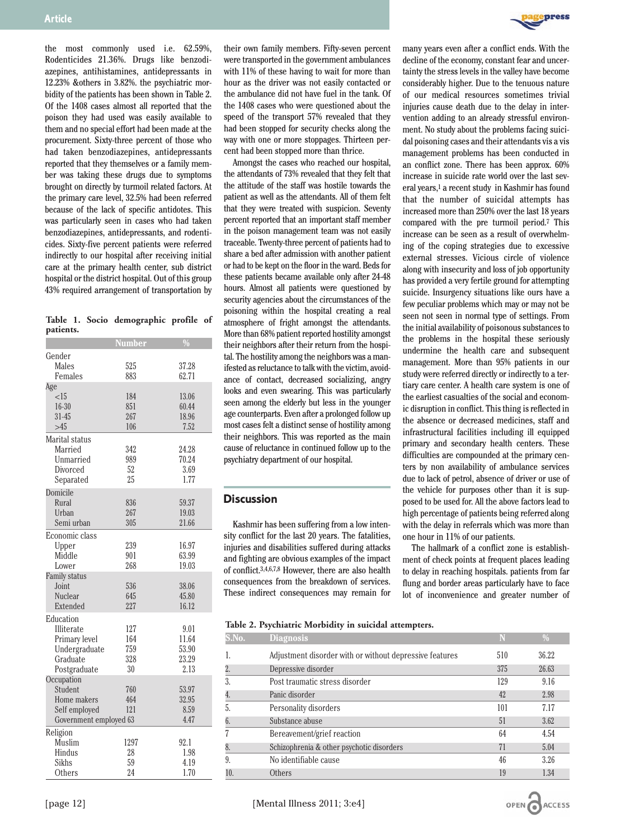

|           |  | Table 1. Socio demographic profile of |  |
|-----------|--|---------------------------------------|--|
| patients. |  |                                       |  |

|                             | <b>Number</b> | $\frac{0}{0}$ |  |  |  |
|-----------------------------|---------------|---------------|--|--|--|
| Gender                      |               |               |  |  |  |
| Males                       | 525           | 37.28         |  |  |  |
| Females                     | 883           | 62.71         |  |  |  |
| Age                         |               |               |  |  |  |
| <15                         | 184           | 13.06         |  |  |  |
| $16 - 30$                   | 851           | 60.44         |  |  |  |
| $31 - 45$                   | 267           | 18.96         |  |  |  |
| >45                         | 106           | 7.52          |  |  |  |
| Marital status              |               |               |  |  |  |
| Married                     | 342           | 24.28         |  |  |  |
| Unmarried                   | 989           | 70.24         |  |  |  |
| Divorced                    | 52<br>25      | 3.69          |  |  |  |
| Separated                   |               | 1.77          |  |  |  |
| Domicile                    |               |               |  |  |  |
| Rural                       | 836           | 59.37         |  |  |  |
| Urban                       | 267           | 19.03         |  |  |  |
| Semi urban                  | 305           | 21.66         |  |  |  |
| Economic class              |               |               |  |  |  |
| Upper                       | 239           | 16.97         |  |  |  |
| Middle                      | 901           | 63.99         |  |  |  |
| Lower                       | 268           | 19.03         |  |  |  |
| Family status<br>Joint      | 536           | 38.06         |  |  |  |
| Nuclear                     | 645           | 45.80         |  |  |  |
| Extended                    | 227           | 16.12         |  |  |  |
|                             |               |               |  |  |  |
| Education                   | 127           |               |  |  |  |
| Illiterate<br>Primary level | 164           | 9.01<br>11.64 |  |  |  |
| Undergraduate               | 759           | 53.90         |  |  |  |
| Graduate                    | 328           | 23.29         |  |  |  |
| Postgraduate                | 30            | 2.13          |  |  |  |
| Occupation                  |               |               |  |  |  |
| Student                     | 760           | 53.97         |  |  |  |
| Home makers                 | 464           | 32.95         |  |  |  |
| Self employed               | 121           | 8.59          |  |  |  |
| Government employed 63      |               | 4.47          |  |  |  |
| Religion                    |               |               |  |  |  |
| Muslim                      | 1297          | 92.1          |  |  |  |
| Hindus                      | 28            | 1.98          |  |  |  |
| Sikhs                       | 59            | 4.19          |  |  |  |
| Others                      | 24            | 1.70          |  |  |  |

their own family members. Fifty-seven percent were transported in the government ambulances with 11% of these having to wait for more than hour as the driver was not easily contacted or the ambulance did not have fuel in the tank. Of the 1408 cases who were questioned about the speed of the transport 57% revealed that they had been stopped for security checks along the way with one or more stoppages. Thirteen percent had been stopped more than thrice.

Amongst the cases who reached our hospital, the attendants of 73% revealed that they felt that the attitude of the staff was hostile towards the patient as well as the attendants. All of them felt that they were treated with suspicion. Seventy percent reported that an important staff member in the poison management team was not easily traceable. Twenty-three percent of patients had to share a bed after admission with another patient or had to be kept on the floor in the ward. Beds for these patients became available only after 24-48 hours. Almost all patients were questioned by security agencies about the circumstances of the poisoning within the hospital creating a real atmosphere of fright amongst the attendants. More than 68% patient reported hostility amongst their neighbors after their return from the hospital. The hostility among the neighbors was a manifested as reluctance to talk with the victim, avoidance of contact, decreased socializing, angry looks and even swearing. This was particularly seen among the elderly but less in the younger age counterparts. Even after a prolonged follow up most cases felt a distinct sense of hostility among their neighbors. This was reported as the main cause of reluctance in continued follow up to the psychiatry department of our hospital.

## **Discussion**

Kashmir has been suffering from a low intensity conflict for the last 20 years. The fatalities, injuries and disabilities suffered during attacks and fighting are obvious examples of the impact of conflict.3,4,6,7,8 However, there are also health consequences from the breakdown of services. These indirect consequences may remain for



many years even after a conflict ends. With the decline of the economy, constant fear and uncertainty the stress levels in the valley have become considerably higher. Due to the tenuous nature of our medical resources sometimes trivial injuries cause death due to the delay in intervention adding to an already stressful environment. No study about the problems facing suicidal poisoning cases and their attendants vis a vis management problems has been conducted in an conflict zone. There has been approx. 60% increase in suicide rate world over the last several years,1 a recent study in Kashmir has found that the number of suicidal attempts has increased more than 250% over the last 18 years compared with the pre turmoil period.7 This increase can be seen as a result of overwhelming of the coping strategies due to excessive external stresses. Vicious circle of violence along with insecurity and loss of job opportunity has provided a very fertile ground for attempting suicide. Insurgency situations like ours have a few peculiar problems which may or may not be seen not seen in normal type of settings. From the initial availability of poisonous substances to the problems in the hospital these seriously undermine the health care and subsequent management. More than 95% patients in our study were referred directly or indirectly to a tertiary care center. A health care system is one of the earliest casualties of the social and economic disruption in conflict. This thing is reflected in the absence or decreased medicines, staff and infrastructural facilities including ill equipped primary and secondary health centers. These difficulties are compounded at the primary centers by non availability of ambulance services due to lack of petrol, absence of driver or use of the vehicle for purposes other than it is supposed to be used for. All the above factors lead to high percentage of patients being referred along with the delay in referrals which was more than one hour in 11% of our patients.

The hallmark of a conflict zone is establishment of check points at frequent places leading to delay in reaching hospitals. patients from far flung and border areas particularly have to face lot of inconvenience and greater number of

| Table 2. Psychiatric Morbidity in suicidal attempters. |  |  |  |
|--------------------------------------------------------|--|--|--|
|--------------------------------------------------------|--|--|--|

| S.No. | <b>Diagnosis</b>                                        | N   | $\frac{0}{0}$ |
|-------|---------------------------------------------------------|-----|---------------|
|       | Adjustment disorder with or without depressive features | 510 | 36.22         |
| 2.    | Depressive disorder                                     | 375 | 26.63         |
| 3.    | Post traumatic stress disorder                          | 129 | 9.16          |
| 4.    | Panic disorder                                          | 42  | 2.98          |
| 5.    | Personality disorders                                   | 101 | 7.17          |
| 6.    | Substance abuse                                         | 51  | 3.62          |
|       | Bereavement/grief reaction                              | 64  | 4.54          |
| 8.    | Schizophrenia & other psychotic disorders               | 71  | 5.04          |
| 9.    | No identifiable cause                                   | 46  | 3.26          |
| 10.   | Others                                                  | 19  | 1.34          |